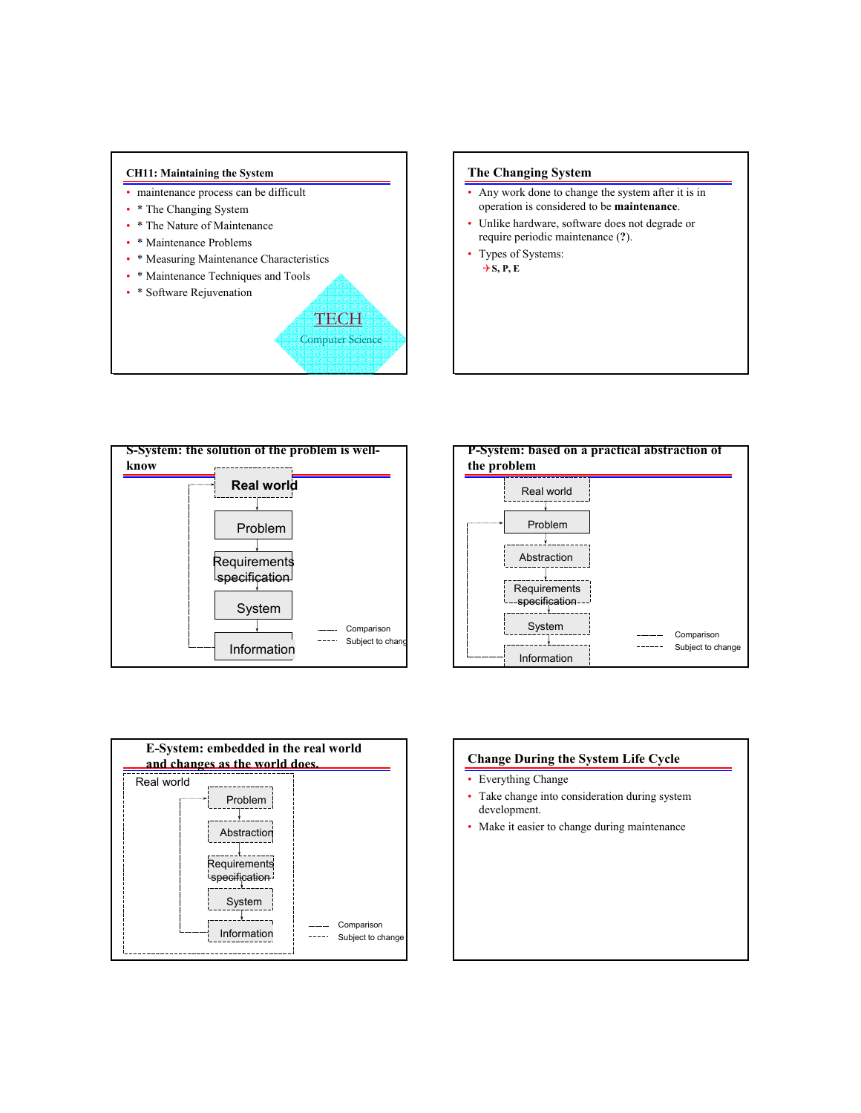

# **The Changing System**

- Any work done to change the system after it is in operation is considered to be **maintenance**.
- Unlike hardware, software does not degrade or require periodic maintenance (**?**).
- Types of Systems:  $\rightarrow$  **S, P, E**







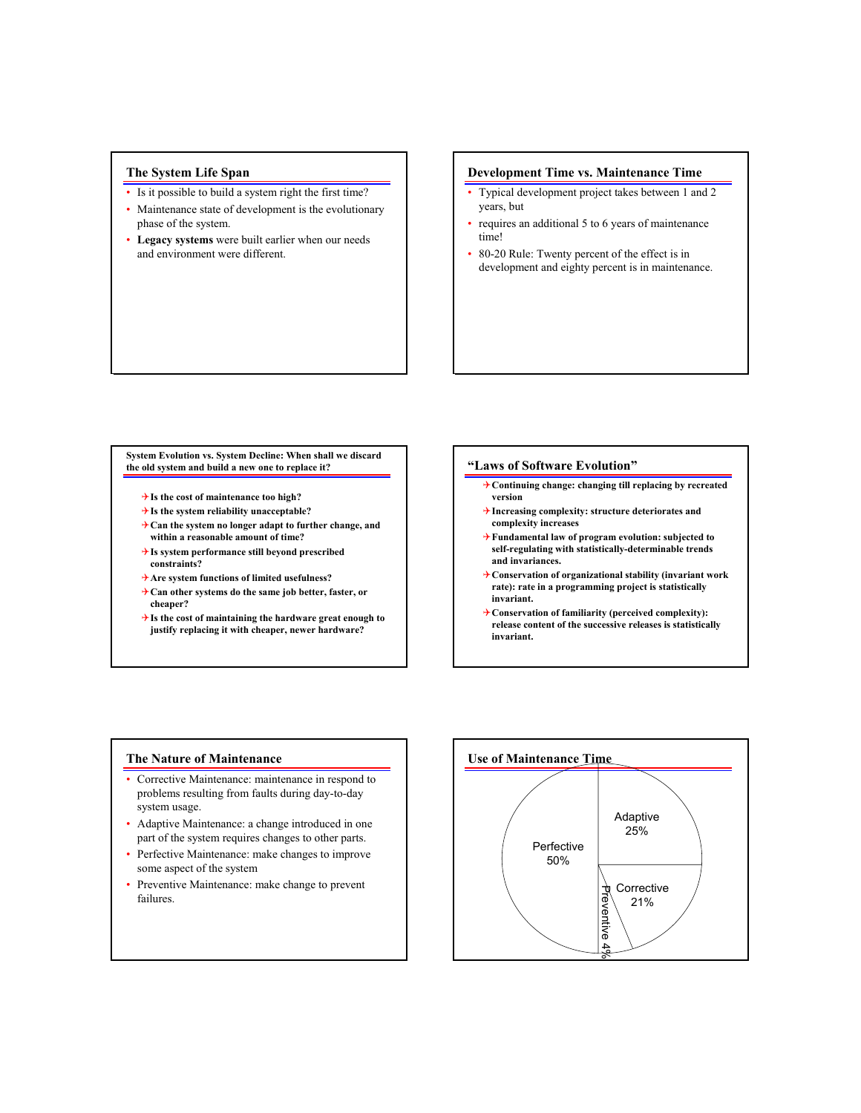# **The System Life Span**

- Is it possible to build a system right the first time?
- Maintenance state of development is the evolutionary phase of the system.
- **Legacy systems** were built earlier when our needs and environment were different.

## **Development Time vs. Maintenance Time**

- Typical development project takes between 1 and 2 years, but
- requires an additional 5 to 6 years of maintenance time!
- 80-20 Rule: Twenty percent of the effect is in development and eighty percent is in maintenance.

#### **System Evolution vs. System Decline: When shall we discard the old system and build a new one to replace it?**

- 4**Is the cost of maintenance too high?**
- 4**Is the system reliability unacceptable?**
- 4**Can the system no longer adapt to further change, and within a reasonable amount of time?**
- 4**Is system performance still beyond prescribed constraints?**
- 4**Are system functions of limited usefulness?**
- 4**Can other systems do the same job better, faster, or cheaper?**
- 4**Is the cost of maintaining the hardware great enough to justify replacing it with cheaper, newer hardware?**

#### **"Laws of Software Evolution"**

- 4**Continuing change: changing till replacing by recreated version**
- 4**Increasing complexity: structure deteriorates and complexity increases**
- 4**Fundamental law of program evolution: subjected to self-regulating with statistically-determinable trends and invariances.**
- 4**Conservation of organizational stability (invariant work rate): rate in a programming project is statistically invariant.**
- 4**Conservation of familiarity (perceived complexity): release content of the successive releases is statistically invariant.**

#### **The Nature of Maintenance**

- Corrective Maintenance: maintenance in respond to problems resulting from faults during day-to-day system usage.
- Adaptive Maintenance: a change introduced in one part of the system requires changes to other parts.
- Perfective Maintenance: make changes to improve some aspect of the system
- Preventive Maintenance: make change to prevent failures.

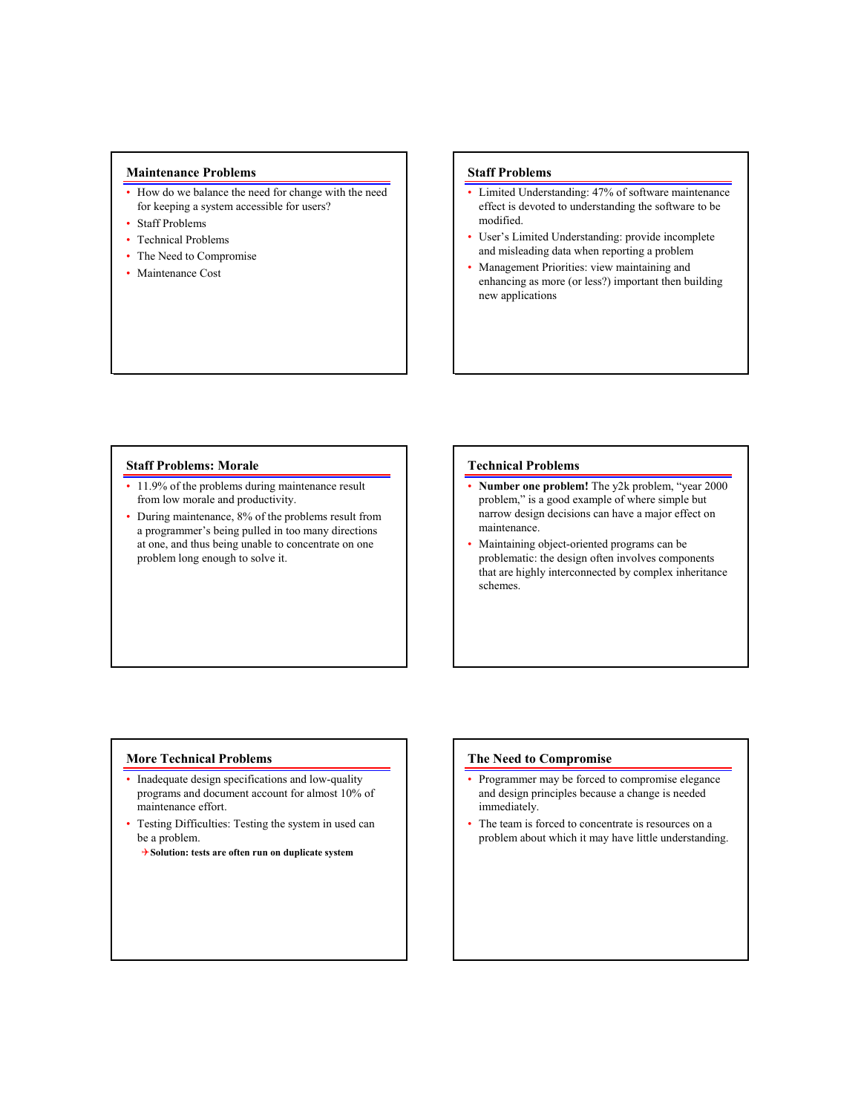## **Maintenance Problems**

- How do we balance the need for change with the need for keeping a system accessible for users?
- Staff Problems
- Technical Problems
- The Need to Compromise
- Maintenance Cost

## **Staff Problems**

- Limited Understanding: 47% of software maintenance effect is devoted to understanding the software to be modified.
- User's Limited Understanding: provide incomplete and misleading data when reporting a problem
- Management Priorities: view maintaining and enhancing as more (or less?) important then building new applications

#### **Staff Problems: Morale**

- 11.9% of the problems during maintenance result from low morale and productivity.
- During maintenance, 8% of the problems result from a programmer's being pulled in too many directions at one, and thus being unable to concentrate on one problem long enough to solve it.

## **Technical Problems**

- **Number one problem!** The y2k problem, "year 2000 problem," is a good example of where simple but narrow design decisions can have a major effect on maintenance.
- Maintaining object-oriented programs can be problematic: the design often involves components that are highly interconnected by complex inheritance schemes.

#### **More Technical Problems**

- Inadequate design specifications and low-quality programs and document account for almost 10% of maintenance effort.
- Testing Difficulties: Testing the system in used can be a problem.
	- 4**Solution: tests are often run on duplicate system**

#### **The Need to Compromise**

- Programmer may be forced to compromise elegance and design principles because a change is needed immediately.
- The team is forced to concentrate is resources on a problem about which it may have little understanding.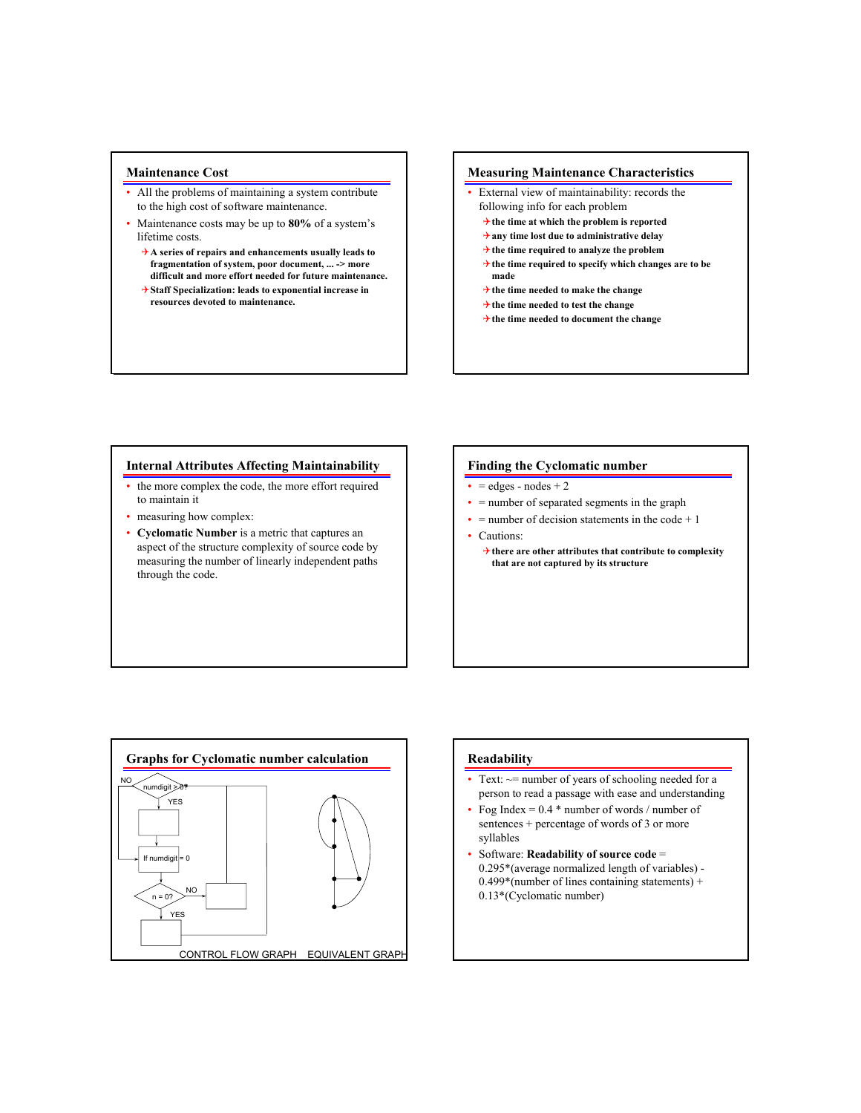## **Maintenance Cost**

- All the problems of maintaining a system contribute to the high cost of software maintenance.
- Maintenance costs may be up to **80%** of a system's lifetime costs.
	- 4**A series of repairs and enhancements usually leads to fragmentation of system, poor document, ... -> more difficult and more effort needed for future maintenance.**
	- 4**Staff Specialization: leads to exponential increase in resources devoted to maintenance.**

## **Measuring Maintenance Characteristics**

- External view of maintainability: records the following info for each problem
	- 4**the time at which the problem is reported**
	- 4**any time lost due to administrative delay**
	- 4**the time required to analyze the problem**
	- 4**the time required to specify which changes are to be made**
	- 4**the time needed to make the change**
	- 4**the time needed to test the change**
	- 4**the time needed to document the change**

## **Internal Attributes Affecting Maintainability**

- the more complex the code, the more effort required to maintain it
- measuring how complex:
- **Cyclomatic Number** is a metric that captures an aspect of the structure complexity of source code by measuring the number of linearly independent paths through the code.

## **Finding the Cyclomatic number**

- $\bullet$  = edges nodes + 2
- = number of separated segments in the graph
- $\bullet$  = number of decision statements in the code + 1
- Cautions:
	- 4**there are other attributes that contribute to complexity that are not captured by its structure**



#### **Readability**

- Text:  $\sim$  = number of years of schooling needed for a person to read a passage with ease and understanding
- Fog Index =  $0.4$  \* number of words / number of sentences + percentage of words of 3 or more syllables
- Software: **Readability of source code** = 0.295\*(average normalized length of variables) -  $0.499*($ number of lines containing statements) + 0.13\*(Cyclomatic number)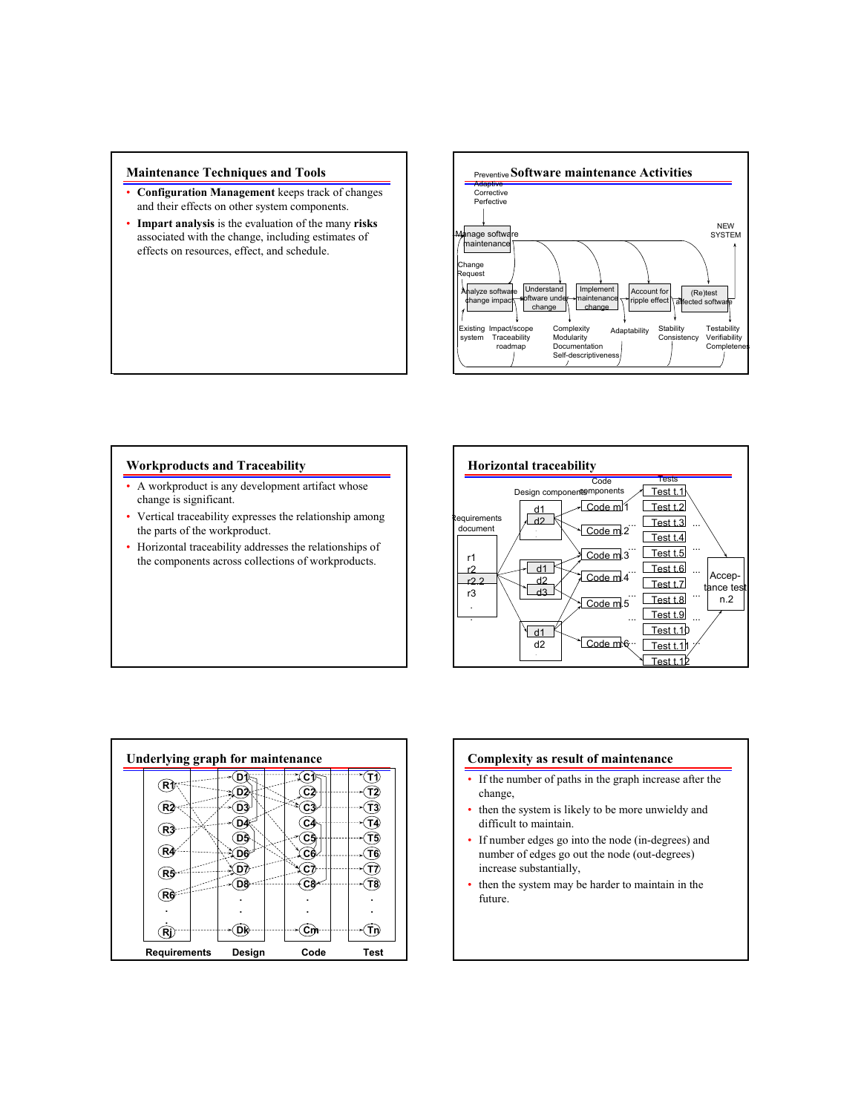## **Maintenance Techniques and Tools**

- **Configuration Management** keeps track of changes and their effects on other system components.
- **Impart analysis** is the evaluation of the many **risks** associated with the change, including estimates of effects on resources, effect, and schedule.



# **Workproducts and Traceability**

- A workproduct is any development artifact whose change is significant.
- Vertical traceability expresses the relationship among the parts of the workproduct.
- Horizontal traceability addresses the relationships of the components across collections of workproducts.





#### **Complexity as result of maintenance**

- If the number of paths in the graph increase after the change,
- then the system is likely to be more unwieldy and difficult to maintain.
- If number edges go into the node (in-degrees) and number of edges go out the node (out-degrees) increase substantially,
- then the system may be harder to maintain in the future.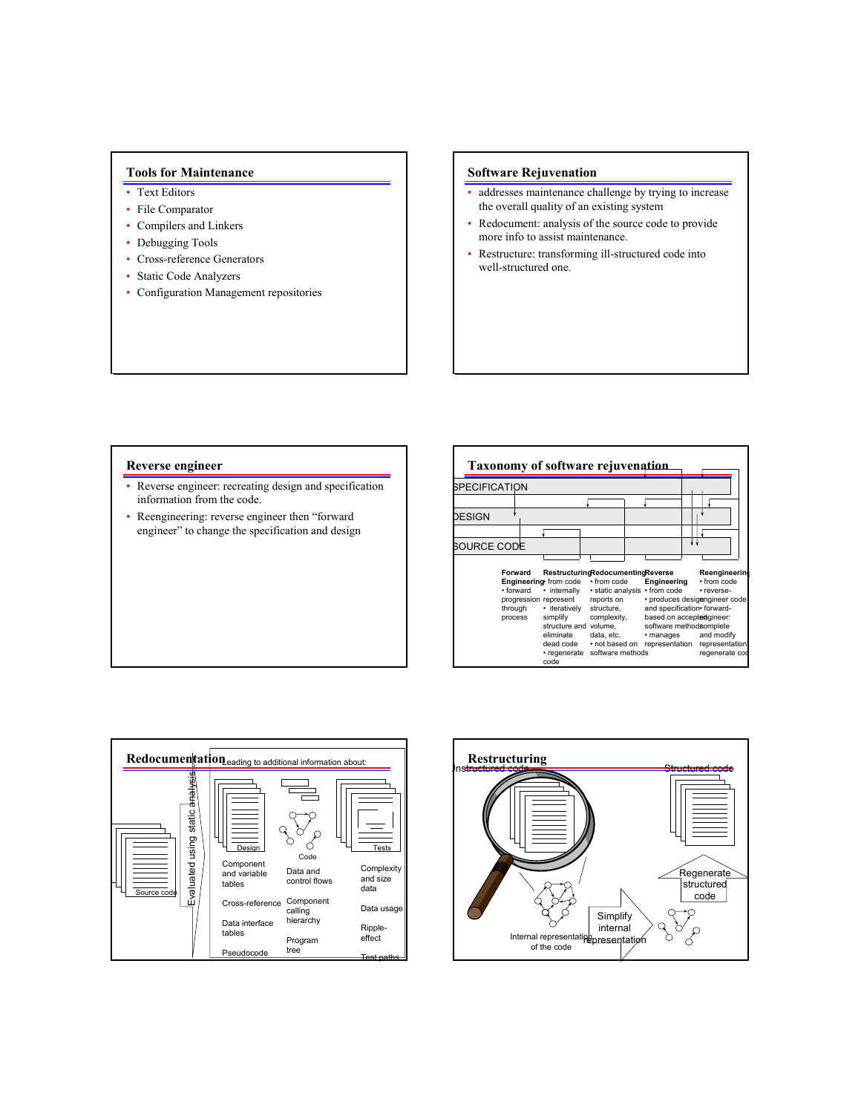# **Tools for Maintenance**

- Text Editors
- File Comparator
- Compilers and Linkers
- Debugging Tools
- Cross-reference Generators
- Static Code Analyzers
- Configuration Management repositories

## **Software Rejuvenation**

- addresses maintenance challenge by trying to increase the overall quality of an existing system
- Redocument: analysis of the source code to provide more info to assist maintenance.
- Restructure: transforming ill-structured code into well-structured one.

#### **Reverse engineer**

- Reverse engineer: recreating design and specification information from the code.
- Reengineering: reverse engineer then "forward engineer" to change the specification and design

| <b>Taxonomy of software rejuvenation</b>   |                                                                                                                                               |                                                                                                                                                        |                                                                |                          |                                                                                                                                                                                                                     |
|--------------------------------------------|-----------------------------------------------------------------------------------------------------------------------------------------------|--------------------------------------------------------------------------------------------------------------------------------------------------------|----------------------------------------------------------------|--------------------------|---------------------------------------------------------------------------------------------------------------------------------------------------------------------------------------------------------------------|
| SPECIFICATION                              |                                                                                                                                               |                                                                                                                                                        |                                                                |                          |                                                                                                                                                                                                                     |
|                                            |                                                                                                                                               |                                                                                                                                                        |                                                                |                          |                                                                                                                                                                                                                     |
| <b>DESIGN</b>                              |                                                                                                                                               |                                                                                                                                                        |                                                                |                          |                                                                                                                                                                                                                     |
|                                            |                                                                                                                                               |                                                                                                                                                        |                                                                |                          |                                                                                                                                                                                                                     |
| SOURCE CODE                                |                                                                                                                                               |                                                                                                                                                        |                                                                |                          |                                                                                                                                                                                                                     |
| Forward<br>• forward<br>through<br>process | Engineering from code<br>• internally<br>progression represent<br>• iteratively<br>simplify<br>eliminate<br>dead code<br>• regenerate<br>code | RestructuringRedocumentingReverse<br>• from code<br>reports on<br>structure.<br>complexity,<br>structure and volume.<br>data, etc.<br>software methods | · static analysis · from code<br>. not based on representation | Engineering<br>• manages | Reengineering<br>• from code<br>• reverse-<br>· produces desigengineer code<br>and specification• forward-<br>based on acceptedgineer:<br>software methodsomplete<br>and modify<br>representation<br>regenerate cod |